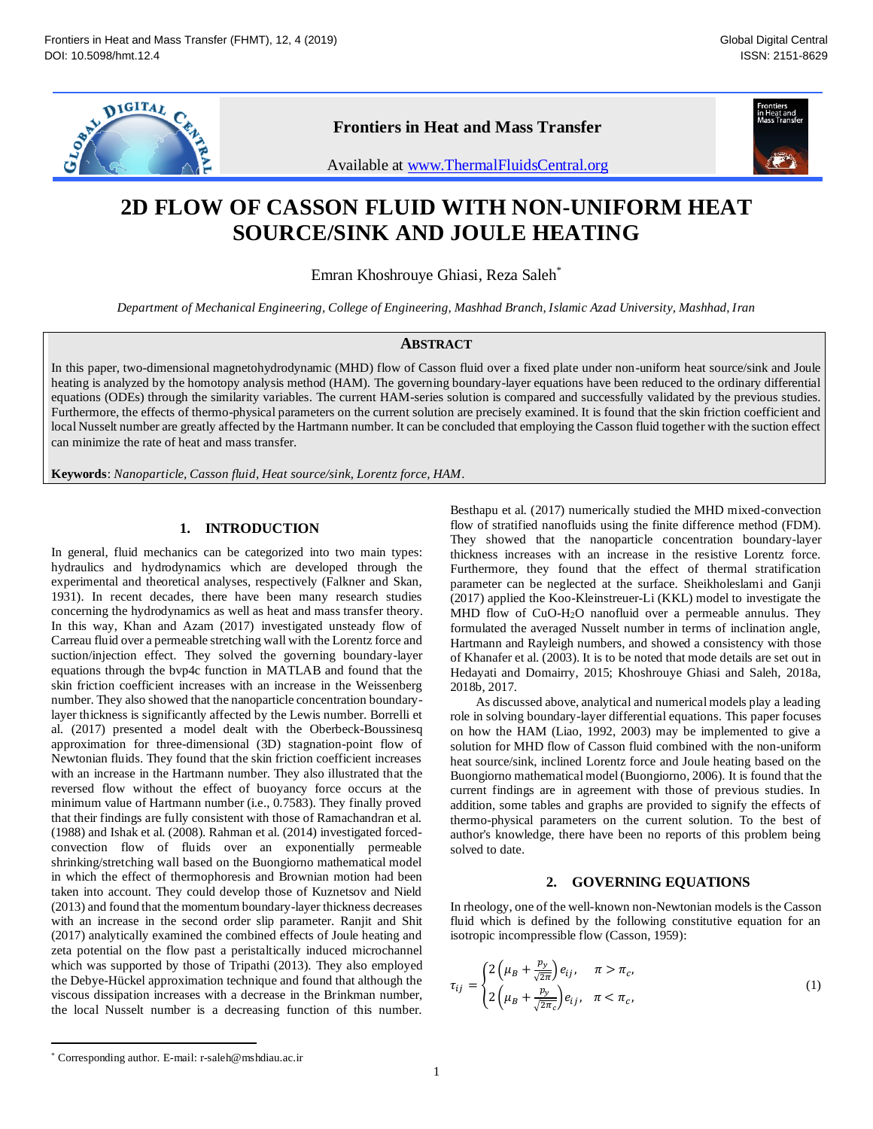

# **Frontiers in Heat and Mass Transfer**



Available at www.ThermalFluidsCentral.org

# **2D FLOW OF CASSON FLUID WITH NON -UNIFORM HEAT SOURCE/SINK AND JOULE HEATING**

Emran Khoshrouye Ghiasi, Reza Saleh \*

*Department of Mechanical Engineering, College of Engineering, Mashhad Branch, Islamic Azad University, Mashhad, Iran*

## **ABSTRACT**

In this paper, two -dimensional magnetohydrodynamic (MHD) flow of Casson fluid over a fixed plate under non -uniform heat source/sink and Joule heating is analyzed by the homotopy analysis method (HAM). The governing boundary -layer equations have been reduced to the ordinary differential equations (ODEs) through the similarity variables. The current HAM -series solution is compared and successfully validated by the previous studies. Furthermore, the effects of thermo-physical parameters on the current solution are precisely examined. It is found that the skin friction coefficient and local Nusselt number are greatly affected by the Hartmann number. It can be concluded that employing the Casson fluid together with the suction effect can minimize the rate of heat and mass transfer .

**Keywords**: *Nanoparticle, Casson fluid, Heat source/sink, Lorentz force, HAM*.

# **1. INTRODUCTION**

In general, fluid mechanics can be categorized into two main types: hydraulics and hydrodynamics which are developed through the experimental and theoretical analyses, respectively (Falkner and Skan, 1931). In recent decades, there have been many research studies concerning the hydrodynamics as well as heat and mass transfer theory. In this way, Khan and Azam (2017) investigated unsteady flow of Carreau fluid over a permeable stretching wall with the Lorentz force and suction/injection effect. They solved the governing boundary-layer equations through the bvp4c function in MATLAB and found that the skin friction coefficient increases with an increase in the Weissenberg number. They also showed that the nanoparticle concentration boundary layer thickness is significantly affected by the Lewis number. Borrelli et al. (2017) presented a model dealt with the Oberbeck -Boussinesq approximation for three -dimensional (3D) stagnation -point flow of Newtonian fluids. They found that the skin friction coefficient increases with an increase in the Hartmann number. They also illustrated that the reversed flow without the effect of buoyancy force occurs at the minimum value of Hartmann number (i.e., 0.7583). They finally proved that their findings are fully consistent with those of Ramachandran et al. (1988) and Ishak et al. (2008). Rahman et al. (2014) investigated forced convection flow of fluids over an exponentially permeable shrinking/stretching wall based on the Buongiorno mathematical model in which the effect of thermophoresis and Brownian motion had been taken into account. They could develop those of Kuznetsov and Nield (2013) and found that the momentum boundary -layer thickness decreases with an increase in the second order slip parameter. Ranjit and Shit (2017) analytically examined the combined effects of Joule heating and zeta potential on the flow past a peristaltically induced microchannel which was supported by those of Tripathi (2013). They also employed the Debye -Hückel approximation technique and found that although the viscous dissipation increases with a decrease in the Brinkman number, the local Nusselt number is a decreasing function of this number.

Besthapu et al. (2017) numerically studied the MHD mixed -convection flow of stratified nanofluids using the finite difference method (FDM). They showed that the nanoparticle concentration boundary-layer thickness increases with an increase in the resistive Lorentz force. Furthermore, they found that the effect of thermal stratification parameter can be neglected at the surface. Sheikholeslami and Ganji (2017) applied the Koo -Kleinstreuer -Li (KKL) model to investigate the MHD flow of CuO-H<sub>2</sub>O nanofluid over a permeable annulus. They formulated the averaged Nusselt number in terms of inclination angle, Hartmann and Rayleigh numbers, and showed a consistency with those of Khanafer et al. (2003). It is to be noted that mode details are set out in Hedayati and Domairry, 2015; Khoshrouye Ghiasi and Saleh, 2018a, 2018b, 2017.

As discussed above, analytical and numerical models play a leading role in solving boundary -layer differential equations. This paper focuses on how the HAM (Liao, 1992, 2003) may be implemented to give a solution for MHD flow of Casson fluid combined with the non -uniform heat source/sink, inclined Lorentz force and Joule heating based on the Buongiorno mathematical model (Buongiorno, 2006). It is found that the current findings are in agreement with those of previous studies. In addition, some tables and graphs are provided to signify the effects of thermo -physical parameters on the current solution. To the best of author's knowledge, there have been no reports of this problem being solved to date.

#### **2. GOVERNING EQUATIONS**

In rheology, one of the well -known non -Newtonian models is the Casson fluid which is defined by the following constitutive equation for an isotropic incompressible flow (Casson, 1959):

$$
\tau_{ij} = \begin{cases} 2\left(\mu_B + \frac{p_y}{\sqrt{2\pi}}\right) e_{ij}, & \pi > \pi_c, \\ 2\left(\mu_B + \frac{p_y}{\sqrt{2\pi_c}}\right) e_{ij}, & \pi < \pi_c, \end{cases}
$$
\n(1)

 $\overline{a}$ 

<sup>\*</sup> Corresponding author. E-mail: r-saleh@mshdiau.ac.ir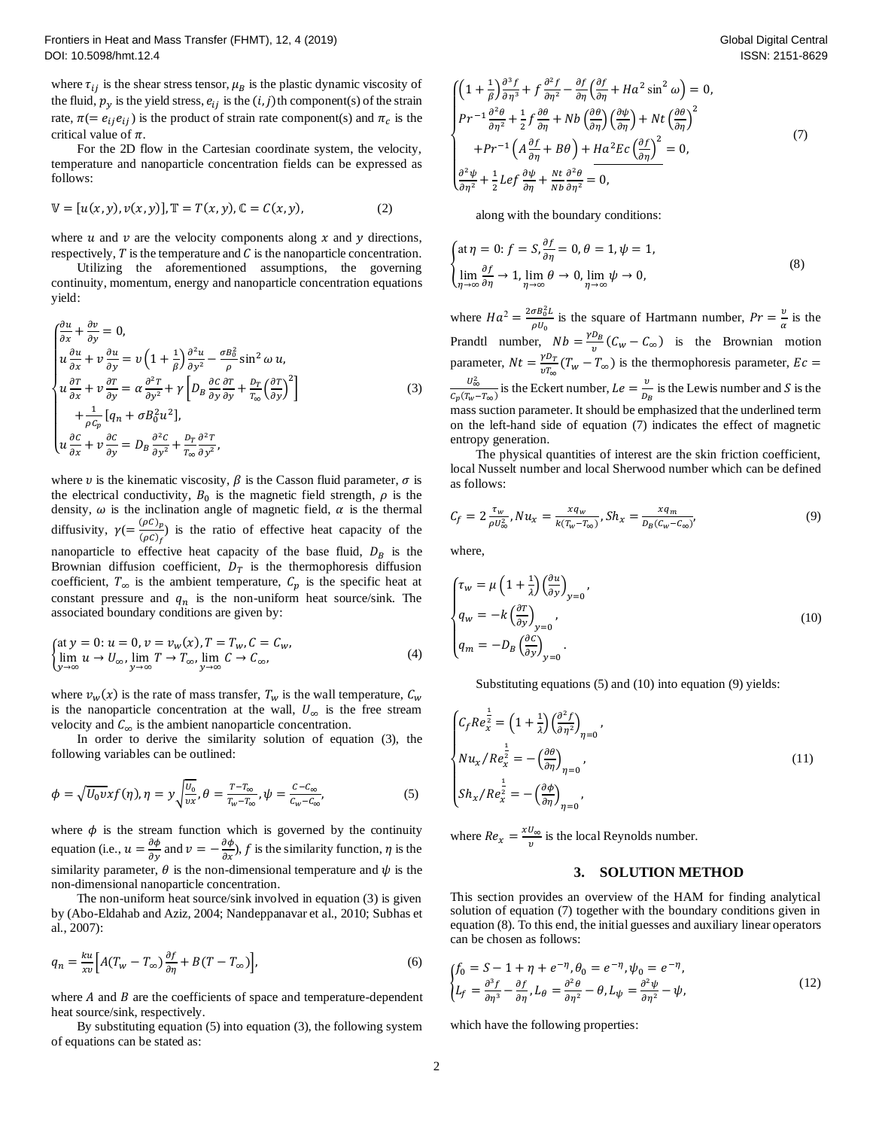where  $\tau_{ij}$  is the shear stress tensor,  $\mu_B$  is the plastic dynamic viscosity of the fluid,  $p_y$  is the yield stress,  $e_{ij}$  is the  $(i, j)$ th component(s) of the strain rate,  $\pi (= e_{ij}e_{ij})$  is the product of strain rate component(s) and  $\pi_c$  is the critical value of  $\pi$ .

For the 2D flow in the Cartesian coordinate system, the velocity, temperature and nanoparticle concentration fields can be expressed as follows:

$$
\mathbb{V} = [u(x, y), v(x, y)], \mathbb{T} = T(x, y), \mathbb{C} = C(x, y),
$$
 (2)

where  $u$  and  $v$  are the velocity components along  $x$  and  $y$  directions, respectively,  $T$  is the temperature and  $C$  is the nanoparticle concentration.

Utilizing the aforementioned assumptions, the governing continuity, momentum, energy and nanoparticle concentration equations yield:

$$
\begin{cases}\n\frac{\partial u}{\partial x} + \frac{\partial v}{\partial y} = 0, \\
u \frac{\partial u}{\partial x} + v \frac{\partial u}{\partial y} = v \left( 1 + \frac{1}{\beta} \right) \frac{\partial^2 u}{\partial y^2} - \frac{\sigma B_0^2}{\rho} \sin^2 \omega u, \\
u \frac{\partial T}{\partial x} + v \frac{\partial T}{\partial y} = \alpha \frac{\partial^2 T}{\partial y^2} + \gamma \left[ D_B \frac{\partial C}{\partial y} \frac{\partial T}{\partial y} + \frac{D_T}{T_{\infty}} \left( \frac{\partial T}{\partial y} \right)^2 \right] \\
+ \frac{1}{\rho C_p} \left[ q_n + \sigma B_0^2 u^2 \right], \\
u \frac{\partial C}{\partial x} + v \frac{\partial C}{\partial y} = D_B \frac{\partial^2 C}{\partial y^2} + \frac{D_T}{T_{\infty}} \frac{\partial^2 T}{\partial y^2},\n\end{cases} (3)
$$

where v is the kinematic viscosity,  $\beta$  is the Casson fluid parameter,  $\sigma$  is the electrical conductivity,  $B_0$  is the magnetic field strength,  $\rho$  is the density,  $\omega$  is the inclination angle of magnetic field,  $\alpha$  is the thermal diffusivity,  $\gamma = \frac{(\rho C)_p}{(\rho C)_f}$  is the ratio of effective heat capacity of the nanoparticle to effective heat capacity of the base fluid,  $D_B$  is the Brownian diffusion coefficient,  $D_T$  is the thermophoresis diffusion coefficient,  $T_{\infty}$  is the ambient temperature,  $C_p$  is the specific heat at constant pressure and  $q_n$  is the non-uniform heat source/sink. The associated boundary conditions are given by:

$$
\begin{cases}\n\text{at } y = 0: u = 0, v = v_w(x), T = T_w, C = C_w, \\
\lim_{y \to \infty} u \to U_\infty, \lim_{y \to \infty} T \to T_\infty, \lim_{y \to \infty} C \to C_\infty,\n\end{cases} \tag{4}
$$

where  $v_w(x)$  is the rate of mass transfer,  $T_w$  is the wall temperature,  $C_w$ is the nanoparticle concentration at the wall,  $U_{\infty}$  is the free stream velocity and  $C_{\infty}$  is the ambient nanoparticle concentration.

In order to derive the similarity solution of equation (3), the following variables can be outlined:

$$
\phi = \sqrt{U_0 v} x f(\eta), \eta = y \sqrt{\frac{U_0}{vx}}, \theta = \frac{T - T_{\infty}}{T_w - T_{\infty}}, \psi = \frac{C - C_{\infty}}{C_w - C_{\infty}},
$$
\n(5)

where  $\phi$  is the stream function which is governed by the continuity equation (i.e.,  $u = \frac{\partial \phi}{\partial y}$  and  $v = -\frac{\partial \phi}{\partial x}$  $\frac{\partial \varphi}{\partial x}$ , f is the similarity function,  $\eta$  is the similarity parameter,  $\theta$  is the non-dimensional temperature and  $\psi$  is the non -dimensional nanoparticle concentration .

The non -uniform heat source/sink involved in equation (3) is given by (Abo -Eldahab and Aziz, 2004; Nandeppanavar et al., 2010; Subhas et al., 2007):

$$
q_n = \frac{k u}{x v} \Big[ A (T_w - T_\infty) \frac{\partial f}{\partial \eta} + B (T - T_\infty) \Big],\tag{6}
$$

where  $A$  and  $B$  are the coefficients of space and temperature-dependent heat source/sink, respectively.

By substituting equation (5) into equation (3), the following system of equations can be stated as:

$$
\begin{cases}\n\left(1+\frac{1}{\beta}\right)\frac{\partial^3 f}{\partial \eta^3} + f \frac{\partial^2 f}{\partial \eta^2} - \frac{\partial f}{\partial \eta} \left(\frac{\partial f}{\partial \eta} + Ha^2 \sin^2 \omega\right) = 0, \\
Pr^{-1} \frac{\partial^2 \theta}{\partial \eta^2} + \frac{1}{2} f \frac{\partial \theta}{\partial \eta} + Nb \left(\frac{\partial \theta}{\partial \eta}\right) \left(\frac{\partial \psi}{\partial \eta}\right) + Nt \left(\frac{\partial \theta}{\partial \eta}\right)^2 \\
+ Pr^{-1} \left(A \frac{\partial f}{\partial \eta} + B\theta\right) + Ha^2 Ec \left(\frac{\partial f}{\partial \eta}\right)^2 = 0, \\
\frac{\partial^2 \psi}{\partial \eta^2} + \frac{1}{2} Lef \frac{\partial \psi}{\partial \eta} + \frac{Nt}{Nb} \frac{\partial^2 \theta}{\partial \eta^2} = 0,\n\end{cases}
$$
\n(7)

along with the boundary conditions:

$$
\begin{cases} \n\text{at } \eta = 0: f = S, \frac{\partial f}{\partial \eta} = 0, \theta = 1, \psi = 1, \\
\lim_{\eta \to \infty} \frac{\partial f}{\partial \eta} \to 1, \lim_{\eta \to \infty} \theta \to 0, \lim_{\eta \to \infty} \psi \to 0,\n\end{cases} \tag{8}
$$

where  $Ha^2 = \frac{2\sigma B_0^2 L}{H}$  $\frac{\partial B_0^2 L}{\partial U_0}$  is the square of Hartmann number,  $Pr = \frac{v}{\alpha}$  is the Prandtl number,  $Nb = \frac{\gamma D_B}{v}(C_w - C_\infty)$  is the Brownian motion parameter,  $Nt = \frac{\gamma D_T}{\nu T_{\infty}} (T_w - T_{\infty})$  is the thermophoresis parameter,  $Ec =$  $U_{\infty}^2$  $\frac{U_{\infty}^2}{C_p(T_w - T_{\infty})}$  is the Eckert number,  $Le = \frac{v}{D_B}$  is the Lewis number and S is the mass suction parameter. It should be emphasized that the underlined term on the left -hand side of equation (7) indicates the effect of magnetic entropy generation.

The physical quantities of interest are the skin friction coefficient, local Nusselt number and local Sherwood number which can be defined as follows:

$$
C_f = 2 \frac{\tau_w}{\rho U_{\infty}^2}, N u_x = \frac{x q_w}{k(\tau_w - \tau_{\infty})}, Sh_x = \frac{x q_m}{D_B (c_w - c_{\infty})},
$$
(9)

where,

$$
\begin{cases} \tau_w = \mu \left( 1 + \frac{1}{\lambda} \right) \left( \frac{\partial u}{\partial y} \right)_{y=0}, \\ q_w = -k \left( \frac{\partial T}{\partial y} \right)_{y=0}, \\ q_m = -D_B \left( \frac{\partial C}{\partial y} \right)_{y=0}. \end{cases}
$$
(10)

Substituting equations (5) and (10) into equation (9) yields:

$$
\begin{cases}\nC_f Re_x^{\frac{1}{2}} = \left(1 + \frac{1}{\lambda}\right) \left(\frac{\partial^2 f}{\partial \eta^2}\right)_{\eta=0}, \\
Nu_x / Re_x^{\frac{1}{2}} = -\left(\frac{\partial \theta}{\partial \eta}\right)_{\eta=0}, \\
Sh_x / Re_x^{\frac{1}{2}} = -\left(\frac{\partial \phi}{\partial \eta}\right)_{\eta=0},\n\end{cases} \tag{11}
$$

where  $Re_x = \frac{xU_\infty}{v}$  is the local Reynolds number.

#### **3. SOLUTION METHOD**

This section provides an overview of the HAM for finding analytical solution of equation (7) together with the boundary conditions given in equation (8). To this end, the initial guesses and auxiliary linear operators can be chosen as follows:

$$
\begin{cases}\nf_0 = S - 1 + \eta + e^{-\eta}, \theta_0 = e^{-\eta}, \psi_0 = e^{-\eta}, \\
L_f = \frac{\partial^3 f}{\partial \eta^3} - \frac{\partial f}{\partial \eta}, L_\theta = \frac{\partial^2 \theta}{\partial \eta^2} - \theta, L_\psi = \frac{\partial^2 \psi}{\partial \eta^2} - \psi,\n\end{cases}
$$
\n(12)

which have the following properties: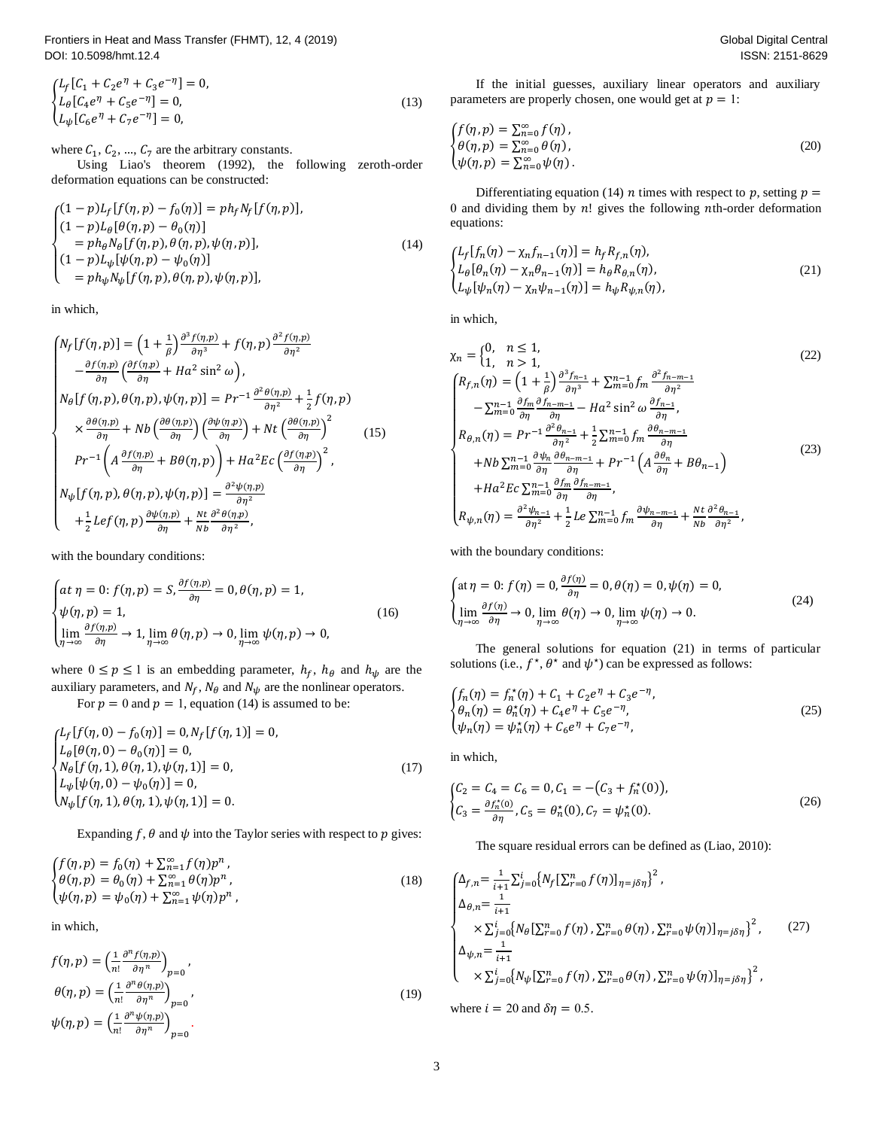Frontiers in Heat and Mass Transfer (FHMT), 12, 4 (2019) DOI: 10.5098/hmt.12.4

{  $L_f[C_1 + C_2e^{\eta} + C_3e^{-\eta}] = 0,$  $L_{\theta}[C_4 e^{\eta} + C_5 e^{-\eta}] = 0,$  $L_{\psi}[C_6 e^{\eta} + C_7 e^{-\eta}] = 0,$  (13  $(13)$ 

where  $C_1$ ,  $C_2$ , ...,  $C_7$  are the arbitrary constants.

Using Liao's theorem (1992), the following zeroth -order deformation equations can be constructed:

$$
\begin{cases}\n(1-p)L_f[f(\eta, p) - f_0(\eta)] = p h_f N_f[f(\eta, p)], \\
(1-p)L_\theta[\theta(\eta, p) - \theta_0(\eta)] \\
= p h_\theta N_\theta[f(\eta, p), \theta(\eta, p), \psi(\eta, p)], \\
(1-p)L_\psi[\psi(\eta, p) - \psi_0(\eta)] \\
= p h_\psi N_\psi[f(\eta, p), \theta(\eta, p), \psi(\eta, p)],\n\end{cases} \tag{14}
$$

in which,

$$
\begin{cases}\nN_f[f(\eta, p)] = \left(1 + \frac{1}{\beta}\right) \frac{\partial^3 f(\eta, p)}{\partial \eta^3} + f(\eta, p) \frac{\partial^2 f(\eta, p)}{\partial \eta^2} \\
-\frac{\partial f(\eta, p)}{\partial \eta} \left(\frac{\partial f(\eta, p)}{\partial \eta} + Ha^2 \sin^2 \omega\right), \\
N_\theta[f(\eta, p), \theta(\eta, p), \psi(\eta, p)] = Pr^{-1} \frac{\partial^2 \theta(\eta, p)}{\partial \eta^2} + \frac{1}{2} f(\eta, p) \\
\times \frac{\partial \theta(\eta, p)}{\partial \eta} + Nb \left(\frac{\partial \theta(\eta, p)}{\partial \eta}\right) \left(\frac{\partial \psi(\eta, p)}{\partial \eta}\right) + Nt \left(\frac{\partial \theta(\eta, p)}{\partial \eta}\right)^2 \\
Pr^{-1}\left(A \frac{\partial f(\eta, p)}{\partial \eta} + B\theta(\eta, p)\right) + Ha^2 Ec \left(\frac{\partial f(\eta, p)}{\partial \eta}\right)^2, \\
N_\psi[f(\eta, p), \theta(\eta, p), \psi(\eta, p)] = \frac{\partial^2 \psi(\eta, p)}{\partial \eta^2} \\
+ \frac{1}{2} Lef(\eta, p) \frac{\partial \psi(\eta, p)}{\partial \eta} + \frac{N_t}{Nb} \frac{\partial^2 \theta(\eta, p)}{\partial \eta^2},\n\end{cases} (15)
$$

with the boundary conditions:

$$
\begin{cases}\nat \eta = 0: f(\eta, p) = S, \frac{\partial f(\eta, p)}{\partial \eta} = 0, \theta(\eta, p) = 1, \\
\psi(\eta, p) = 1, \\
\lim_{\eta \to \infty} \frac{\partial f(\eta, p)}{\partial \eta} \to 1, \lim_{\eta \to \infty} \theta(\eta, p) \to 0, \lim_{\eta \to \infty} \psi(\eta, p) \to 0,\n\end{cases}
$$
\n(16)

where  $0 \le p \le 1$  is an embedding parameter,  $h_f$ ,  $h_\theta$  and  $h_\psi$  are the auxiliary parameters, and  $N_f$ ,  $N_\theta$  and  $N_\psi$  are the nonlinear operators.

For  $p = 0$  and  $p = 1$ , equation (14) is assumed to be:

 $\begin{cases} \n\frac{\partial \psi}{\partial r} = 0, \\ \n\frac{\partial \psi}{\partial r} = 0, \\ \n\frac{\partial \psi}{\partial r} = 0. \n\end{cases}$  $L_f[f(\eta, 0) - f_0(\eta)] = 0, N_f[f(\eta, 1)] = 0,$  $L_{\theta}[\theta(\eta, 0) - \theta_0(\eta)] = 0,$  $N_{\theta}[f(\eta, 1), \theta(\eta, 1), \psi(\eta, 1)] = 0,$  $L_{\psi}[\psi(\eta, 0) - \psi_0(\eta)] = 0,$ (17)

Expanding f,  $\theta$  and  $\psi$  into the Taylor series with respect to p gives:

$$
\begin{cases}\nf(\eta, p) = f_0(\eta) + \sum_{n=1}^{\infty} f(\eta) p^n, \\
\theta(\eta, p) = \theta_0(\eta) + \sum_{n=1}^{\infty} \theta(\eta) p^n, \\
\psi(\eta, p) = \psi_0(\eta) + \sum_{n=1}^{\infty} \psi(\eta) p^n,\n\end{cases}
$$
\n(18)

in which,

$$
f(\eta, p) = \left(\frac{1}{n!} \frac{\partial^n f(\eta, p)}{\partial \eta^n}\right)_{p=0},
$$
  
\n
$$
\theta(\eta, p) = \left(\frac{1}{n!} \frac{\partial^n \theta(\eta, p)}{\partial \eta^n}\right)_{p=0},
$$
  
\n
$$
\psi(\eta, p) = \left(\frac{1}{n!} \frac{\partial^n \psi(\eta, p)}{\partial \eta^n}\right)_{p=0}.
$$
\n(19)

If the initial guesses, auxiliary linear operators and auxiliary parameters are properly chosen, one would get at  $p = 1$ :

$$
\begin{cases}\nf(\eta, p) = \sum_{n=0}^{\infty} f(\eta), \\
\theta(\eta, p) = \sum_{n=0}^{\infty} \theta(\eta), \\
\psi(\eta, p) = \sum_{n=0}^{\infty} \psi(\eta).\n\end{cases}
$$
\n(20)

Differentiating equation (14) *n* times with respect to *p*, setting  $p =$ 0 and dividing them by  $n!$  gives the following nth-order deformation equations:

$$
\begin{cases}\nL_f[f_n(\eta) - \chi_n f_{n-1}(\eta)] = h_f R_{f,n}(\eta), \\
L_\theta[\theta_n(\eta) - \chi_n \theta_{n-1}(\eta)] = h_\theta R_{\theta,n}(\eta), \\
L_\psi[\psi_n(\eta) - \chi_n \psi_{n-1}(\eta)] = h_\psi R_{\psi,n}(\eta),\n\end{cases} (21)
$$

in which,

$$
\chi_{n} = \begin{cases}\n0, & n \leq 1, \\
1, & n > 1,\n\end{cases}
$$
\n(22)  
\n
$$
\begin{cases}\nR_{f,n}(\eta) = \left(1 + \frac{1}{\beta}\right) \frac{\partial^{3} f_{n-1}}{\partial \eta^{3}} + \sum_{m=0}^{n-1} f_{m} \frac{\partial^{2} f_{n-m-1}}{\partial \eta^{2}} \\
-\sum_{m=0}^{n-1} \frac{\partial f_{m}}{\partial \eta} \frac{\partial f_{n-m-1}}{\partial \eta} - Ha^{2} \sin^{2} \omega \frac{\partial f_{n-1}}{\partial \eta}, \\
R_{\theta,n}(\eta) = Pr^{-1} \frac{\partial^{2} \theta_{n-1}}{\partial \eta^{2}} + \frac{1}{2} \sum_{m=0}^{n-1} f_{m} \frac{\partial \theta_{n-m-1}}{\partial \eta} \\
+ Nb \sum_{m=0}^{n-1} \frac{\partial f_{m}}{\partial \eta} \frac{\partial \theta_{n-m-1}}{\partial \eta} + Pr^{-1} \left( A \frac{\partial \theta_{n}}{\partial \eta} + B \theta_{n-1} \right) \\
+ Ha^{2} Ec \sum_{m=0}^{n-1} \frac{\partial f_{m}}{\partial \eta} \frac{\partial f_{n-m-1}}{\partial \eta}, \\
R_{\psi,n}(\eta) = \frac{\partial^{2} \psi_{n-1}}{\partial \eta^{2}} + \frac{1}{2} Le \sum_{m=0}^{n-1} f_{m} \frac{\partial \psi_{n-m-1}}{\partial \eta} + \frac{Nt}{Nb} \frac{\partial^{2} \theta_{n-1}}{\partial \eta^{2}},\n\end{cases}
$$
\n(23)

with the boundary conditions:

$$
\begin{cases} \n\text{at } \eta = 0: f(\eta) = 0, \frac{\partial f(\eta)}{\partial \eta} = 0, \theta(\eta) = 0, \psi(\eta) = 0, \\
\lim_{\eta \to \infty} \frac{\partial f(\eta)}{\partial \eta} \to 0, \lim_{\eta \to \infty} \theta(\eta) \to 0, \lim_{\eta \to \infty} \psi(\eta) \to 0. \n\end{cases} \tag{24}
$$

The general solutions for equation (21) in terms of particular solutions (i.e.,  $f^*, \theta^*$  and  $\psi^*$ ) can be expressed as follows:

$$
\begin{cases}\nf_n(\eta) = f_n^*(\eta) + C_1 + C_2 e^{\eta} + C_3 e^{-\eta}, \\
\theta_n(\eta) = \theta_n^*(\eta) + C_4 e^{\eta} + C_5 e^{-\eta}, \\
\psi_n(\eta) = \psi_n^*(\eta) + C_6 e^{\eta} + C_7 e^{-\eta},\n\end{cases} \tag{25}
$$

in which,

$$
\begin{cases} C_2 = C_4 = C_6 = 0, C_1 = -(C_3 + f_n^*(0)), \\ C_3 = \frac{\partial f_n^*(0)}{\partial \eta}, C_5 = \theta_n^*(0), C_7 = \psi_n^*(0). \end{cases}
$$
(26)

The square residual errors can be defined as (Liao, 2010):

$$
\begin{cases}\n\Delta_{f,n} = \frac{1}{i+1} \sum_{j=0}^{i} \{ N_f \left[ \sum_{r=0}^{n} f(\eta) \right]_{\eta=j\delta\eta} \}^2, \\
\Delta_{\theta,n} = \frac{1}{i+1} \\
\times \sum_{j=0}^{i} \{ N_\theta \left[ \sum_{r=0}^{n} f(\eta) \right], \sum_{r=0}^{n} \theta(\eta) \right], \sum_{r=0}^{n} \psi(\eta) \left]_{\eta=j\delta\eta} \}^2, \\
\Delta_{\psi,n} = \frac{1}{i+1} \\
\times \sum_{j=0}^{i} \{ N_\psi \left[ \sum_{r=0}^{n} f(\eta) \right], \sum_{r=0}^{n} \theta(\eta) \right], \sum_{r=0}^{n} \psi(\eta) \left]_{\eta=j\delta\eta} \}^2,\n\end{cases} (27)
$$

where  $i = 20$  and  $\delta \eta = 0.5$ .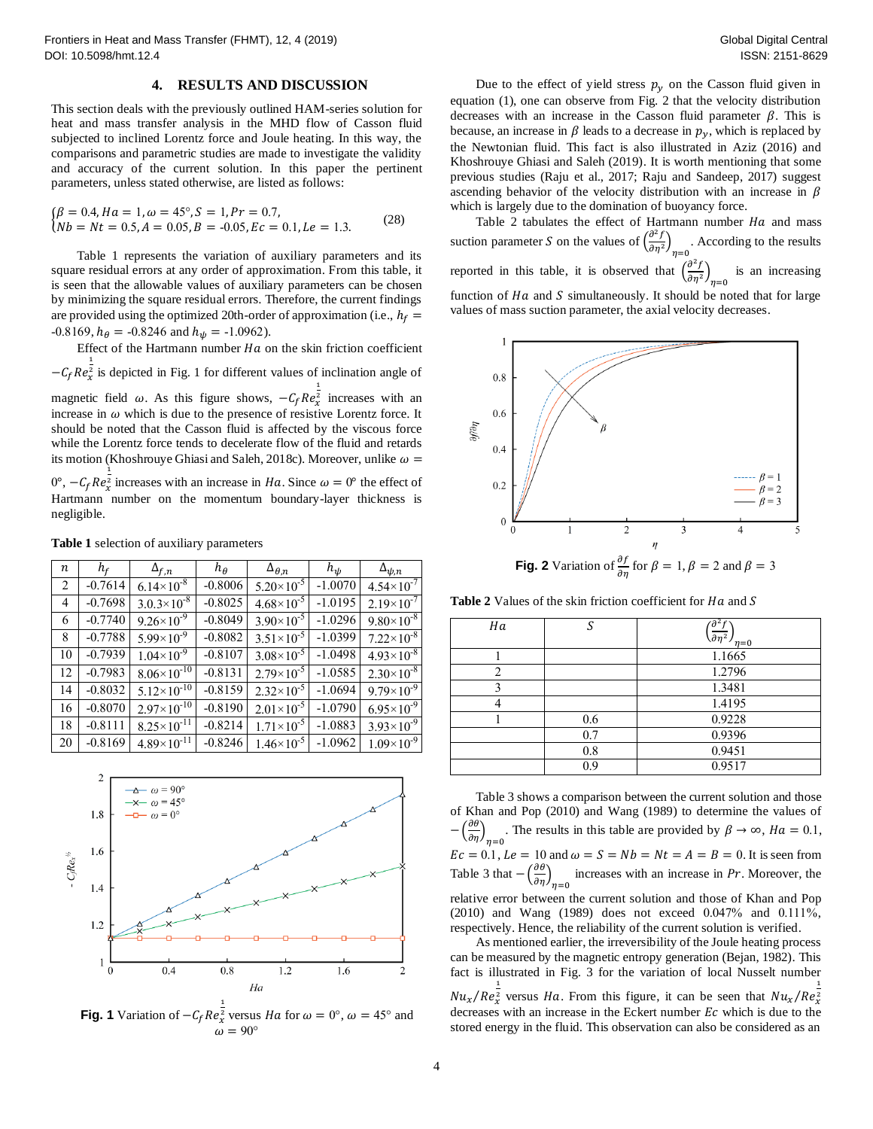## **4. RESULTS AND DISCUSSION**

This section deals with the previously outlined HAM -series solution for heat and mass transfer analysis in the MHD flow of Casson fluid subjected to inclined Lorentz force and Joule heating. In this way, the comparisons and parametric studies are made to investigate the validity and accuracy of the current solution. In this paper the pertinent parameters, unless stated otherwise, are listed as follows:

$$
\begin{aligned} \n\beta &= 0.4, Ha = 1, \omega = 45^{\circ}, S = 1, Pr = 0.7, \\ \n\lambda b &= Nt = 0.5, A = 0.05, B = -0.05, Ec = 0.1, Le = 1.3. \n\end{aligned} \tag{28}
$$

Table 1 represents the variation of auxiliary parameters and its square residual errors at any order of approximation. From this table, it is seen that the allowable values of auxiliary parameters can be chosen by minimizing the square residual errors. Therefore, the current findings are provided using the optimized 20th-order of approximation (i.e.,  $h_f =$  $-0.8169$ ,  $h_{\theta} = -0.8246$  and  $h_{\psi} = -1.0962$ ).

Effect of the Hartmann number  $Ha$  on the skin friction coefficient  $-C_f Re_z^{\frac{1}{2}}$  is depicted in Fig. 1 for different values of inclination angle of magnetic field  $\omega$ . As this figure shows,  $-C_f Re_x^{\frac{1}{2}}$  increases with an increase in  $\omega$  which is due to the presence of resistive Lorentz force. It should be noted that the Casson fluid is affected by the viscous force while the Lorentz force tends to decelerate flow of the fluid and retards its motion (Khoshrouye Ghiasi and Saleh, 2018c). Moreover, unlike  $\omega =$ 

 $0^{\circ}$ ,  $-C_f Re_z^{\frac{1}{2}}$  increases with an increase in *Ha*. Since  $\omega = 0^{\circ}$  the effect of Hartmann number on the momentum boundary -layer thickness is negligible .

| $\boldsymbol{n}$ | $h_f$     | $\Delta_{f,n}$         | $h_{\theta}$ | $\Delta_{\theta,n}$   | $h_{\psi}$ | $\Delta_{\psi,n}$     |
|------------------|-----------|------------------------|--------------|-----------------------|------------|-----------------------|
| 2                | $-0.7614$ | $6.14 \times 10^{-8}$  | $-0.8006$    | $5.20 \times 10^{-5}$ | $-1.0070$  | $4.54 \times 10^{-7}$ |
| 4                | $-0.7698$ | $3.0.3\times10^{-8}$   | $-0.8025$    | $4.68 \times 10^{-5}$ | $-1.0195$  | $2.19\times10^{-7}$   |
| 6                | $-0.7740$ | $9.26 \times 10^{-9}$  | $-0.8049$    | $3.90\times10^{-5}$   | $-1.0296$  | $9.80\times10^{-8}$   |
| 8                | $-0.7788$ | $5.99\times10^{-9}$    | $-0.8082$    | $3.51 \times 10^{-5}$ | $-1.0399$  | $7.22\times10^{-8}$   |
| 10               | $-0.7939$ | $1.04 \times 10^{-9}$  | $-0.8107$    | $3.08 \times 10^{-5}$ | $-1.0498$  | $4.93 \times 10^{-8}$ |
| 12               | $-0.7983$ | $8.06 \times 10^{-10}$ | $-0.8131$    | $2.79 \times 10^{-5}$ | $-1.0585$  | $2.30\times10^{-8}$   |
| 14               | $-0.8032$ | $5.12 \times 10^{-10}$ | $-0.8159$    | $2.32 \times 10^{-5}$ | $-1.0694$  | $9.79 \times 10^{-9}$ |
| 16               | $-0.8070$ | $2.97\times10^{-10}$   | $-0.8190$    | $2.01 \times 10^{-5}$ | $-1.0790$  | $6.95 \times 10^{-9}$ |
| 18               | $-0.8111$ | $8.25 \times 10^{-11}$ | $-0.8214$    | $1.71 \times 10^{-5}$ | $-1.0883$  | $3.93 \times 10^{-9}$ |
| 20               | $-0.8169$ | $4.89\times10^{-11}$   | $-0.8246$    | $1.46 \times 10^{-5}$ | $-1.0962$  | $1.09\times10^{-9}$   |

**Table 1** selection of auxiliary parameters



**Fig. 1** Variation of  $-C_f Re_x^{\frac{1}{2}}$  versus *Ha* for  $\omega = 0^\circ$ ,  $\omega = 45^\circ$  and  $\omega = 90^{\circ}$ 

Due to the effect of yield stress  $p_y$  on the Casson fluid given in equation (1), one can observe from Fig. 2 that the velocity distribution decreases with an increase in the Casson fluid parameter  $\beta$ . This is because, an increase in  $\beta$  leads to a decrease in  $p_y$ , which is replaced by the Newtonian fluid. This fact is also illustrated in Aziz (2016) and Khoshrouye Ghiasi and Saleh (2019). It is worth mentioning that some previous studies (Raju et al., 2017; Raju and Sandeep, 2017) suggest ascending behavior of the velocity distribution with an increase in  $\beta$ which is largely due to the domination of buoyancy force .

Table 2 tabulates the effect of Hartmann number  $Ha$  and mass suction parameter S on the values of  $\left(\frac{\partial^2 f}{\partial x^2}\right)$  $\left(\frac{\partial f}{\partial \eta^2}\right)_{\eta=0}$ . According to the results reported in this table, it is observed that  $\left(\frac{\partial^2 f}{\partial x^2}\right)$  $\left(\frac{\partial f}{\partial \eta^2}\right)_{\eta=0}$  is an increasing function of  $Ha$  and  $S$  simultaneously. It should be noted that for large values of mass suction parameter, the axial velocity decreases .



Table 2 Values of the skin friction coefficient for  $Ha$  and  $S$ 

| Ha                                                                                                                                                                                                                                                                                                                                                                                                                      | c   | $\left(\frac{\partial^2 f}{\partial \eta^2}\right)_{\eta=0}$ |
|-------------------------------------------------------------------------------------------------------------------------------------------------------------------------------------------------------------------------------------------------------------------------------------------------------------------------------------------------------------------------------------------------------------------------|-----|--------------------------------------------------------------|
|                                                                                                                                                                                                                                                                                                                                                                                                                         |     | 1.1665                                                       |
| $\mathcal{D}_{1}^{(1)} = \mathcal{D}_{2}^{(1)} = \mathcal{D}_{3}^{(1)} = \mathcal{D}_{4}^{(1)} = \mathcal{D}_{5}^{(1)} = \mathcal{D}_{6}^{(1)} = \mathcal{D}_{7}^{(1)} = \mathcal{D}_{8}^{(1)} = \mathcal{D}_{9}^{(1)} = \mathcal{D}_{1}^{(1)} = \mathcal{D}_{1}^{(1)} = \mathcal{D}_{1}^{(1)} = \mathcal{D}_{1}^{(1)} = \mathcal{D}_{1}^{(1)} = \mathcal{D}_{2}^{(1)} = \mathcal{D}_{3}^{(1)} = \mathcal{D}_{4}^{(1)}$ |     | 1.2796                                                       |
|                                                                                                                                                                                                                                                                                                                                                                                                                         |     | 1.3481                                                       |
|                                                                                                                                                                                                                                                                                                                                                                                                                         |     | 1.4195                                                       |
|                                                                                                                                                                                                                                                                                                                                                                                                                         | 0.6 | 0.9228                                                       |
|                                                                                                                                                                                                                                                                                                                                                                                                                         | 0.7 | 0.9396                                                       |
|                                                                                                                                                                                                                                                                                                                                                                                                                         | 0.8 | 0.9451                                                       |
|                                                                                                                                                                                                                                                                                                                                                                                                                         | 0.9 | 0.9517                                                       |

Table 3 shows a comparison between the current solution and those of Khan and Pop (2010) and Wang (1989) to determine the values of  $-\left(\frac{\partial \theta}{\partial n}\right)$  $\left(\frac{\partial \theta}{\partial \eta}\right)_{\eta=0}$ . The results in this table are provided by  $\beta \to \infty$ ,  $Ha = 0.1$ ,  $Ec = 0.1$ ,  $Le = 10$  and  $\omega = S = Nb = Nt = A = B = 0$ . It is seen from Table 3 that  $-\left(\frac{\partial \theta}{\partial x}\right)$  $\left(\frac{\partial v}{\partial \eta}\right)_{\eta=0}$  increases with an increase in *Pr*. Moreover, the relative error between the current solution and those of Khan and Pop (2010) and Wang (1989) does not exceed 0.047% and 0.111%, respectively. Hence, the reliability of the current solution is verified .

As mentioned earlier, the irreversibility of the Joule heating process can be measured by the magnetic entropy generation (Bejan, 1982). This fact is illustrated in Fig. 3 for the variation of local Nusselt number  $Nu_x/Re_x^{\frac{1}{2}}$  versus *Ha*. From this figure, it can be seen that  $Nu_x/Re_x^{\frac{1}{2}}$ decreases with an increase in the Eckert number  $Ec$  which is due to the stored energy in the fluid. This observation can also be considered as an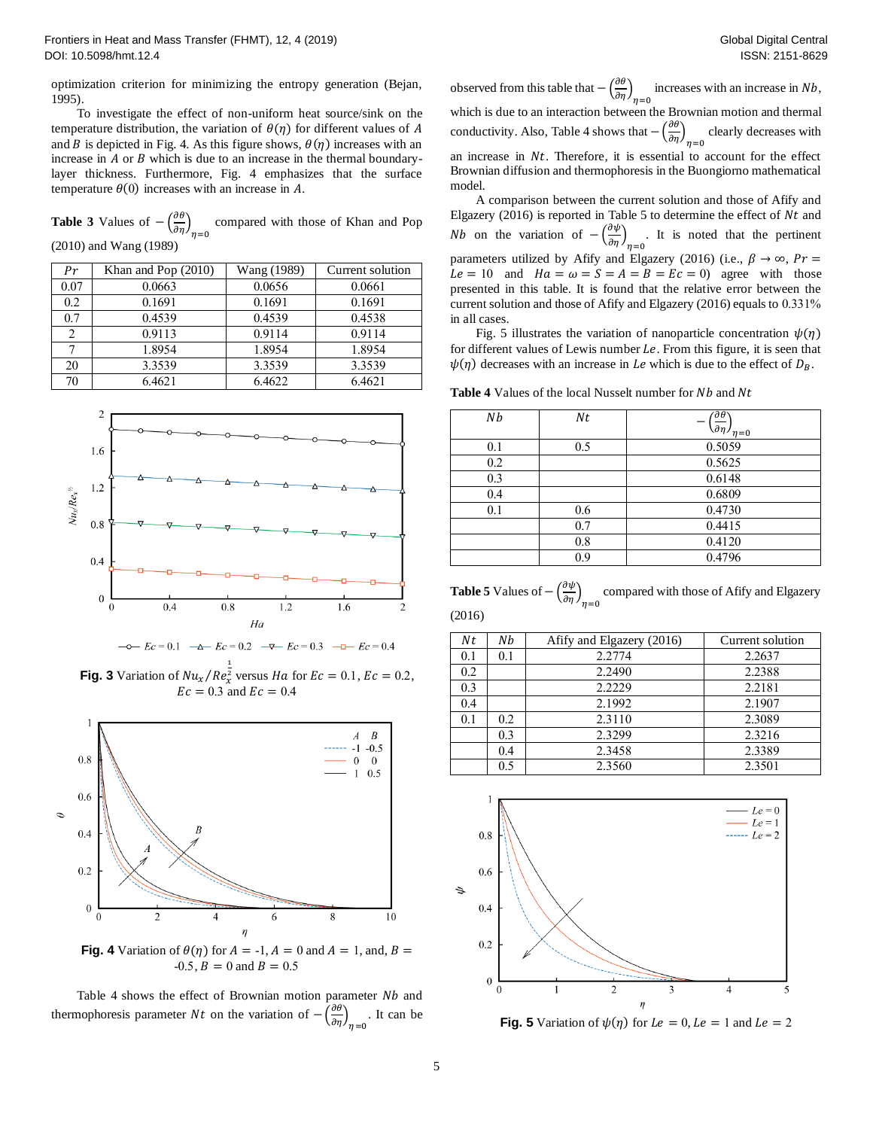optimization criterion for minimizing the entropy generation (Bejan, 1995 ) .

To investigate the effect of non -uniform heat source/sink on the temperature distribution, the variation of  $\theta(\eta)$  for different values of A and B is depicted in Fig. 4. As this figure shows,  $\theta(\eta)$  increases with an increase in  $A$  or  $B$  which is due to an increase in the thermal boundarylayer thickness. Furthermore, Fig. 4 emphasizes that the surface temperature  $\theta(0)$  increases with an increase in A.

**Table 3** Values of  $-\left(\frac{\partial \theta}{\partial x}\right)$  $\left(\frac{\partial v}{\partial \eta}\right)_{\eta=0}$  compared with those of Khan and Pop (2010) and Wang (1989)

| Pr   | Khan and Pop $(2010)$ | Wang (1989) | Current solution |
|------|-----------------------|-------------|------------------|
| 0.07 | 0.0663                | 0.0656      | 0.0661           |
| 0.2  | 0.1691                | 0.1691      | 0.1691           |
| 0.7  | 0.4539                | 0.4539      | 0.4538           |
| 2    | 0.9113                | 0.9114      | 0.9114           |
|      | 1.8954                | 1.8954      | 1.8954           |
| 20   | 3.3539                | 3.3539      | 3.3539           |
| 70   | 6.4621                | 6.4622      | 6.4621           |





**Fig. 3** Variation of  $Nu_x/Re_x^{\frac{1}{2}}$  versus *Ha* for  $Ec = 0.1$ ,  $Ec = 0.2$ ,  $Ec = 0.3$  and  $Ec = 0.4$ 



**Fig. 4** Variation of  $\theta(\eta)$  for  $A = -1$ ,  $A = 0$  and  $A = 1$ , and,  $B = \eta$  $-0.5$ ,  $B = 0$  and  $B = 0.5$ 

Table 4 shows the effect of Brownian motion parameter  $Nb$  and thermophoresis parameter *Nt* on the variation of  $-\left(\frac{\partial \theta}{\partial x}\right)^2$  $\left(\frac{\partial v}{\partial \eta}\right)_{\eta=0}$ . It can be

observed from this table that  $-\left(\frac{\partial \theta}{\partial x}\right)^2$  $\left(\frac{\partial v}{\partial \eta}\right)_{\eta=0}$  increases with an increase in Nb, which is due to an interaction between the Brownian motion and thermal conductivity. Also, Table 4 shows that  $-\left(\frac{\partial \theta}{\partial n}\right)$  $\frac{\partial}{\partial \eta}$ <sub> $\eta=0$ </sub> clearly decreases with an increase in  $Nt$ . Therefore, it is essential to account for the effect Brownian diffusion and thermophoresis in the Buongiorno mathematical model.

A comparison between the current solution and those of Afify and Elgazery (2016) is reported in Table 5 to determine the effect of  $Nt$  and *Nb* on the variation of  $-\left(\frac{\partial \psi}{\partial x}\right)^2$  $\left(\frac{\partial \varphi}{\partial \eta}\right)_{\eta=0}$ . It is noted that the pertinent parameters utilized by Afify and Elgazery (2016) (i.e.,  $\beta \rightarrow \infty$ ,  $Pr =$  $Le = 10$  and  $Ha = \omega = S = A = B = Ec = 0$  agree with those presented in this table. It is found that the relative error between the current solution and those of Afify and Elgazery (2016) equals to 0.331% in all cases .

Fig. 5 illustrates the variation of nanoparticle concentration  $\psi(\eta)$ for different values of Lewis number  $Le$ . From this figure, it is seen that  $\psi(\eta)$  decreases with an increase in *Le* which is due to the effect of  $D_B$ .

**Table 4** Values of the local Nusselt number for Nb and Nt

| Nb  | Nt  | $-\left(\frac{\overline{\partial \theta}}{\partial \eta}\right)_{\eta=0}$ |
|-----|-----|---------------------------------------------------------------------------|
| 0.1 | 0.5 | 0.5059                                                                    |
| 0.2 |     | 0.5625                                                                    |
| 0.3 |     | 0.6148                                                                    |
| 0.4 |     | 0.6809                                                                    |
| 0.1 | 0.6 | 0.4730                                                                    |
|     | 0.7 | 0.4415                                                                    |
|     | 0.8 | 0.4120                                                                    |
|     | 0.9 | 0.4796                                                                    |

**Table 5** Values of  $-\left(\frac{\partial \psi}{\partial n}\right)$  $\left(\frac{\partial \varphi}{\partial \eta}\right)_{\eta=0}$  compared with those of Afify and Elgazery (2016)

| Nt  | Nb  | Afify and Elgazery (2016) | Current solution |
|-----|-----|---------------------------|------------------|
| 0.1 | 0.1 | 2.2774                    | 2.2637           |
| 0.2 |     | 2.2490                    | 2.2388           |
| 0.3 |     | 2.2229                    | 2.2181           |
| 0.4 |     | 2.1992                    | 2.1907           |
| 0.1 | 0.2 | 2.3110                    | 2.3089           |
|     | 0.3 | 2.3299                    | 2.3216           |
|     | 0.4 | 2.3458                    | 2.3389           |
|     | 0.5 | 2.3560                    | 2.3501           |



**Fig. 5** Variation of  $\psi(\eta)$  for  $Le = 0$ ,  $Le = 1$  and  $Le = 2$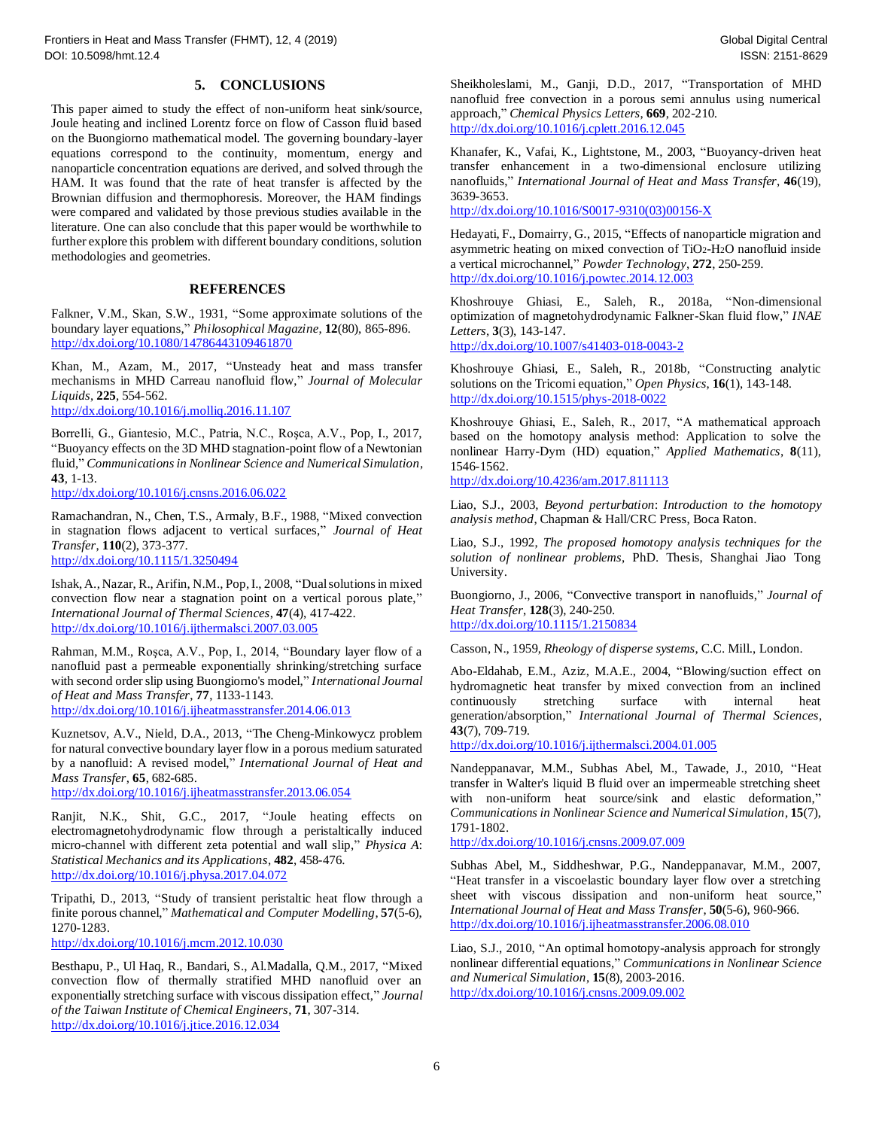## **5. CONCLUSION S**

This paper aimed to study the effect of non -uniform heat sink/source, Joule heating and inclined Lorentz force on flow of Casson fluid based on the Buongiorno mathematical model. The governing boundary -layer equations correspond to the continuity, momentum, energy and nanoparticle concentration equations are derived, and solved through the HAM. It was found that the rate of heat transfer is affected by the Brownian diffusion and thermophoresis. Moreover, the HAM findings were compared and validated by those previous studies available in the literature. One can also conclude that this paper would be worthwhile to further explore this problem with different boundary conditions, solution methodologies and geometries.

#### **REFERENCES**

Falkner, V.M., Skan, S.W., 1931, "Some approximate solutions of the boundary layer equations, " *Philosophical Magazine*, **12**(80), 865 -896. http://dx.doi.org/10.1080/14786443109461870

Khan, M., Azam, M., 2017, "Unsteady heat and mass transfer mechanisms in MHD Carreau nanofluid flow, " *Journal of Molecular Liquids*, **225**, 554 -562.

http://dx.doi.org/10.1016/j.molliq.2016.11.107

Borrelli, G., Giantesio, M.C., Patria, N.C., Roşca, A.V., Pop, I., 2017, "Buoyancy effects on the 3D MHD stagnation-point flow of a Newtonian fluid, " *Communications in Nonlinear Science and Numerical Simulation*, **43**, 1 -13.

http://dx.doi.org/10.1016/j.cnsns.2016.06.022

Ramachandran, N., Chen, T.S., Armaly, B.F., 1988, "Mixed convection in stagnation flows adjacent to vertical surfaces, " *Journal of Heat Transfer*, **110**(2), 373 -377. http://dx.doi.org/10.1115/1.3250494

Ishak, A., Nazar, R., Arifin, N.M., Pop, I., 2008, "Dual solutions in mixed convection flow near a stagnation point on a vertical porous plate, " *International Journal of Thermal Sciences*, **47**(4), 417 -422. http://dx.doi.org/10.1016/j.ijthermalsci.2007.03.005

Rahman, M.M., Roşca, A.V., Pop, I., 2014, "Boundary layer flow of a nanofluid past a permeable exponentially shrinking/stretching surface with second order slip using Buongiorno's model, " *International Journal of Heat and Mass Transfer*, **77**, 1133 -1143. http://dx.doi.org/10.1016/j.ijheatmasstransfer.2014.06.013

Kuznetsov, A.V., Nield, D.A., 2013, "The Cheng -Minkowycz problem for natural convective boundary layer flow in a porous medium saturated by a nanofluid: A revised model, " *International Journal of Heat and Mass Transfer*, **65**, 682 -685.

http://dx.doi.org/10.1016/j.ijheatmasstransfer.2013.06.054

Ranjit, N.K., Shit, G.C., 2017, "Joule heating effects on electromagnetohydrodynamic flow through a peristaltically induced micro -channel with different zeta potential and wall slip, " *Physica A* : *Statistical Mechanics and its Applications*, **482**, 458 -476. http://dx.doi.org/10.1016/j.physa.2017.04.072

Tripathi, D., 2013, "Study of transient peristaltic heat flow through a finite porous channel, " *Mathematical and Computer Modelling*, **57**(5 -6), 1270 -1283.

http://dx.doi.org/10.1016/j.mcm.2012.10.030

Besthapu, P., Ul Haq, R., Bandari, S., Al.Madalla, Q.M., 2017, "Mixed convection flow of thermally stratified MHD nanofluid over an exponentially stretching surface with viscous dissipation effect, " *Journal of the Taiwan Institute of Chemical Engineers*, **71**, 307 -314. http://dx.doi.org/10.1016/j.jtice.2016.12.034

Sheikholeslami, M., Ganji, D.D., 2017, "Transportation of MHD nanofluid free convection in a porous semi annulus using numerical approach, " *Chemical Physics Letters*, **669**, 202 -210. http://dx.doi.org/10.1016/j.cplett.2016.12.045

Khanafer, K., Vafai, K., Lightstone, M., 2003, "Buoyancy -driven heat transfer enhancement in a two -dimensional enclosure utilizing nanofluids, " *International Journal of Heat and Mass Transfer*, **46**(19), 3639 -3653.

http://dx.doi.org/10.1016/S0017-9310(03)00156-X

Hedayati, F., Domairry, G., 2015, "Effects of nanoparticle migration and asymmetric heating on mixed convection of TiO2-H<sub>2</sub>O nanofluid inside a vertical microchannel, " *Powder Technology*, **272**, 250 -259. http://dx.doi.org/10.1016/j.powtec.2014.12.003

Khoshrouye Ghiasi, E., Saleh, R., 2018a, "Non - dimensional optimization of magnetohydrodynamic Falkner -Skan fluid flow, " *INAE Letters*, **3**(3), 143 -147.

http://dx.doi.org/10.1007/s41403-018-0043-2

Khoshrouye Ghiasi, E., Saleh, R., 2018b, "Constructing analytic solutions on the Tricomi equation, " *Open Physics*, **16**(1), 143 -148. http://dx.doi.org/10.1515/phys -2018 -0022

Khoshrouye Ghiasi, E., Saleh, R., 2017, "A mathematical approach based on the homotopy analysis method: Application to solve the nonlinear Harry -Dym (HD) equation," *Applied Mathematics*, **8**(11), 1546 -1562.

http://dx.doi.org/10.4236/am.2017.811113

Liao, S.J., 2003, *Beyond perturbation* : *Introduction to the homotopy analysis method*, Chapman & Hall/CRC Press, Boca Raton.

Liao, S.J., 1992, *The proposed homotopy analysis techniques for the solution of nonlinear problems*, PhD. Thesis, Shanghai Jiao Tong University.

Buongiorno, J., 2006, "Convective transport in nanofluids, " *Journal of Heat Transfer*, **128**(3), 240 -250. http://dx.doi.org/10.1115/1.2150834

Casson, N., 1959, *Rheology of disperse systems*, C.C. Mill., London.

Abo -Eldahab, E.M., Aziz, M.A.E., 2004, "Blowing/suction effect on hydromagnetic heat transfer by mixed convection from an inclined continuously stretching surface with internal heat generation/absorption, " *International Journal of Thermal Sciences*, **43**(7), 709 -719.

http://dx.doi.org/10.1016/j.ijthermalsci.2004.01.005

Nandeppanavar, M.M., Subhas Abel, M., Tawade, J., 2010, "Heat transfer in Walter's liquid B fluid over an impermeable stretching sheet with non-uniform heat source/sink and elastic deformation," *Communications in Nonlinear Science and Numerical Simulation*, **15**(7), 1791 -1802 .

http://dx.doi.org/10.1016/j.cnsns.2009.07.009

Subhas Abel, M., Siddheshwar, P.G., Nandeppanavar, M.M., 2007, "Heat transfer in a viscoelastic boundary layer flow over a stretching sheet with viscous dissipation and non-uniform heat source," *International Journal of Heat and Mass Transfer*, **50**(5 -6), 960 -966. http://dx.doi.org/10.1016/j.ijheatmasstransfer.2006.08.010

Liao, S.J., 2010, "An optimal homotopy -analysis approach for strongly nonlinear differential equations, " *Communications in Nonlinear Science and Numerical Simulation*, **15** ( 8 ), 2003 -2016. http://dx.doi.org/10.1016/j.cnsns.2009.09.002